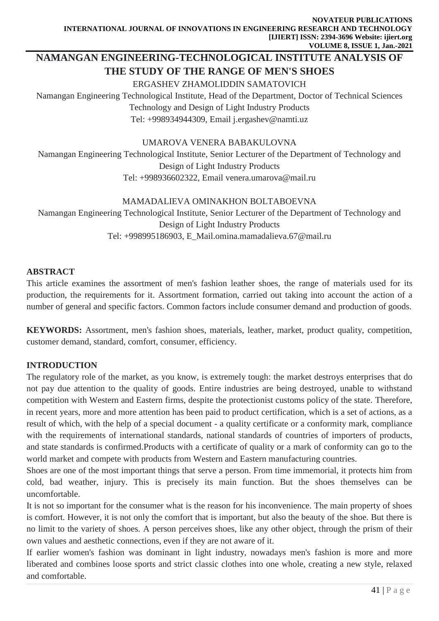# **NAMANGAN ENGINEERING-TECHNOLOGICAL INSTITUTE ANALYSIS OF THE STUDY OF THE RANGE OF MEN'S SHOES**

#### ERGASHEV ZHAMOLIDDIN SAMATOVICH

Namangan Engineering Technological Institute, Head of the Department, Doctor of Technical Sciences Technology and Design of Light Industry Products Tel: +998934944309, Email [j.ergashev@namti.uz](mailto:j.ergashev@namti.uz)

#### UMAROVA VENERA BABAKULOVNA

Namangan Engineering Technological Institute, Senior Lecturer of the Department of Technology and Design of Light Industry Products Tel: +998936602322, Email [venera.umarova@mail.ru](mailto:venera.umarova@mail.ru)

#### MAMADALIEVA OMINAKHON BOLTABOEVNA

Namangan Engineering Technological Institute, Senior Lecturer of the Department of Technology and Design of Light Industry Products Tel: +998995186903, E\_Mail.omina.mamadalieva.67@mail.ru

### **ABSTRACT**

This article examines the assortment of men's fashion leather shoes, the range of materials used for its production, the requirements for it. Assortment formation, carried out taking into account the action of a number of general and specific factors. Common factors include consumer demand and production of goods.

**KEYWORDS:** Assortment, men's fashion shoes, materials, leather, market, product quality, competition, customer demand, standard, comfort, consumer, efficiency.

### **INTRODUCTION**

The regulatory role of the market, as you know, is extremely tough: the market destroys enterprises that do not pay due attention to the quality of goods. Entire industries are being destroyed, unable to withstand competition with Western and Eastern firms, despite the protectionist customs policy of the state. Therefore, in recent years, more and more attention has been paid to product certification, which is a set of actions, as a result of which, with the help of a special document - a quality certificate or a conformity mark, compliance with the requirements of international standards, national standards of countries of importers of products, and state standards is confirmed.Products with a certificate of quality or a mark of conformity can go to the world market and compete with products from Western and Eastern manufacturing countries.

Shoes are one of the most important things that serve a person. From time immemorial, it protects him from cold, bad weather, injury. This is precisely its main function. But the shoes themselves can be uncomfortable.

It is not so important for the consumer what is the reason for his inconvenience. The main property of shoes is comfort. However, it is not only the comfort that is important, but also the beauty of the shoe. But there is no limit to the variety of shoes. A person perceives shoes, like any other object, through the prism of their own values and aesthetic connections, even if they are not aware of it.

If earlier women's fashion was dominant in light industry, nowadays men's fashion is more and more liberated and combines loose sports and strict classic clothes into one whole, creating a new style, relaxed and comfortable.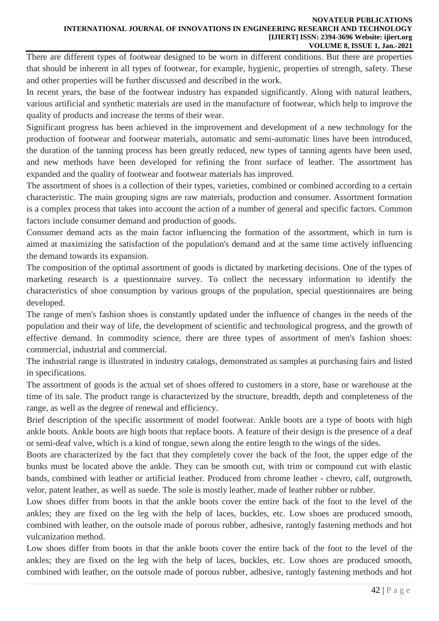#### **NOVATEUR PUBLICATIONS INTERNATIONAL JOURNAL OF INNOVATIONS IN ENGINEERING RESEARCH AND TECHNOLOGY [IJIERT] ISSN: 2394-3696 Website: ijiert.org VOLUME 8, ISSUE 1, Jan.-2021**

There are different types of footwear designed to be worn in different conditions. But there are properties that should be inherent in all types of footwear, for example, hygienic, properties of strength, safety. These and other properties will be further discussed and described in the work.

In recent years, the base of the footwear industry has expanded significantly. Along with natural leathers, various artificial and synthetic materials are used in the manufacture of footwear, which help to improve the quality of products and increase the terms of their wear.

Significant progress has been achieved in the improvement and development of a new technology for the production of footwear and footwear materials, automatic and semi-automatic lines have been introduced, the duration of the tanning process has been greatly reduced, new types of tanning agents have been used, and new methods have been developed for refining the front surface of leather. The assortment has expanded and the quality of footwear and footwear materials has improved.

The assortment of shoes is a collection of their types, varieties, combined or combined according to a certain characteristic. The main grouping signs are raw materials, production and consumer. Assortment formation is a complex process that takes into account the action of a number of general and specific factors. Common factors include consumer demand and production of goods.

Consumer demand acts as the main factor influencing the formation of the assortment, which in turn is aimed at maximizing the satisfaction of the population's demand and at the same time actively influencing the demand towards its expansion.

The composition of the optimal assortment of goods is dictated by marketing decisions. One of the types of marketing research is a questionnaire survey. To collect the necessary information to identify the characteristics of shoe consumption by various groups of the population, special questionnaires are being developed.

The range of men's fashion shoes is constantly updated under the influence of changes in the needs of the population and their way of life, the development of scientific and technological progress, and the growth of effective demand. In commodity science, there are three types of assortment of men's fashion shoes: commercial, industrial and commercial.

The industrial range is illustrated in industry catalogs, demonstrated as samples at purchasing fairs and listed in specifications.

The assortment of goods is the actual set of shoes offered to customers in a store, base or warehouse at the time of its sale. The product range is characterized by the structure, breadth, depth and completeness of the range, as well as the degree of renewal and efficiency.

Brief description of the specific assortment of model footwear. Ankle boots are a type of boots with high ankle boots. Ankle boots are high boots that replace boots. A feature of their design is the presence of a deaf or semi-deaf valve, which is a kind of tongue, sewn along the entire length to the wings of the sides.

Boots are characterized by the fact that they completely cover the back of the foot, the upper edge of the bunks must be located above the ankle. They can be smooth cut, with trim or compound cut with elastic bands, combined with leather or artificial leather. Produced from chrome leather - chevro, calf, outgrowth, velor, patent leather, as well as suede. The sole is mostly leather, made of leather rubber or rubber.

Low shoes differ from boots in that the ankle boots cover the entire back of the foot to the level of the ankles; they are fixed on the leg with the help of laces, buckles, etc. Low shoes are produced smooth, combined with leather, on the outsole made of porous rubber, adhesive, rantogly fastening methods and hot vulcanization method.

Low shoes differ from boots in that the ankle boots cover the entire back of the foot to the level of the ankles; they are fixed on the leg with the help of laces, buckles, etc. Low shoes are produced smooth, combined with leather, on the outsole made of porous rubber, adhesive, rantogly fastening methods and hot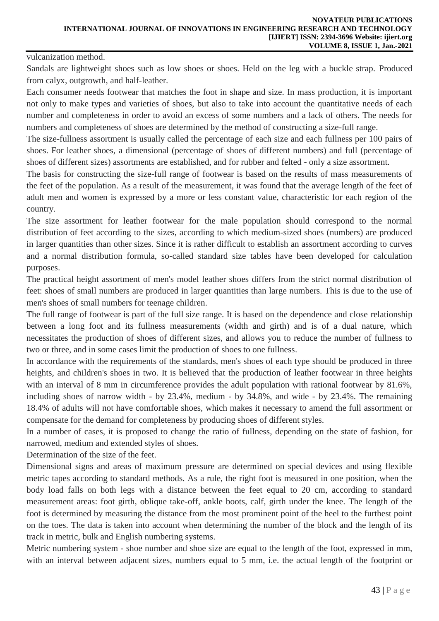vulcanization method.

Sandals are lightweight shoes such as low shoes or shoes. Held on the leg with a buckle strap. Produced from calyx, outgrowth, and half-leather.

Each consumer needs footwear that matches the foot in shape and size. In mass production, it is important not only to make types and varieties of shoes, but also to take into account the quantitative needs of each number and completeness in order to avoid an excess of some numbers and a lack of others. The needs for numbers and completeness of shoes are determined by the method of constructing a size-full range.

The size-fullness assortment is usually called the percentage of each size and each fullness per 100 pairs of shoes. For leather shoes, a dimensional (percentage of shoes of different numbers) and full (percentage of shoes of different sizes) assortments are established, and for rubber and felted - only a size assortment.

The basis for constructing the size-full range of footwear is based on the results of mass measurements of the feet of the population. As a result of the measurement, it was found that the average length of the feet of adult men and women is expressed by a more or less constant value, characteristic for each region of the country.

The size assortment for leather footwear for the male population should correspond to the normal distribution of feet according to the sizes, according to which medium-sized shoes (numbers) are produced in larger quantities than other sizes. Since it is rather difficult to establish an assortment according to curves and a normal distribution formula, so-called standard size tables have been developed for calculation purposes.

The practical height assortment of men's model leather shoes differs from the strict normal distribution of feet: shoes of small numbers are produced in larger quantities than large numbers. This is due to the use of men's shoes of small numbers for teenage children.

The full range of footwear is part of the full size range. It is based on the dependence and close relationship between a long foot and its fullness measurements (width and girth) and is of a dual nature, which necessitates the production of shoes of different sizes, and allows you to reduce the number of fullness to two or three, and in some cases limit the production of shoes to one fullness.

In accordance with the requirements of the standards, men's shoes of each type should be produced in three heights, and children's shoes in two. It is believed that the production of leather footwear in three heights with an interval of 8 mm in circumference provides the adult population with rational footwear by 81.6%, including shoes of narrow width - by 23.4%, medium - by 34.8%, and wide - by 23.4%. The remaining 18.4% of adults will not have comfortable shoes, which makes it necessary to amend the full assortment or compensate for the demand for completeness by producing shoes of different styles.

In a number of cases, it is proposed to change the ratio of fullness, depending on the state of fashion, for narrowed, medium and extended styles of shoes.

Determination of the size of the feet.

Dimensional signs and areas of maximum pressure are determined on special devices and using flexible metric tapes according to standard methods. As a rule, the right foot is measured in one position, when the body load falls on both legs with a distance between the feet equal to 20 cm, according to standard measurement areas: foot girth, oblique take-off, ankle boots, calf, girth under the knee. The length of the foot is determined by measuring the distance from the most prominent point of the heel to the furthest point on the toes. The data is taken into account when determining the number of the block and the length of its track in metric, bulk and English numbering systems.

Metric numbering system - shoe number and shoe size are equal to the length of the foot, expressed in mm, with an interval between adjacent sizes, numbers equal to 5 mm, i.e. the actual length of the footprint or